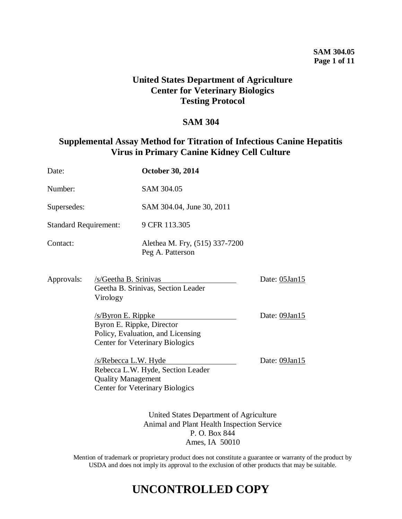## **SAM 304.05 Page 1 of 11**

## **United States Department of Agriculture Center for Veterinary Biologics Testing Protocol**

## **SAM 304**

## **Supplemental Assay Method for Titration of Infectious Canine Hepatitis Virus in Primary Canine Kidney Cell Culture**

| Date:                                              |                                                                                                                         | <b>October 30, 2014</b>                                                     |               |
|----------------------------------------------------|-------------------------------------------------------------------------------------------------------------------------|-----------------------------------------------------------------------------|---------------|
| Number:                                            |                                                                                                                         | SAM 304.05                                                                  |               |
| Supersedes:                                        |                                                                                                                         | SAM 304.04, June 30, 2011                                                   |               |
| <b>Standard Requirement:</b>                       |                                                                                                                         | 9 CFR 113.305                                                               |               |
| Contact:                                           |                                                                                                                         | Alethea M. Fry, (515) 337-7200<br>Peg A. Patterson                          |               |
| Approvals:                                         | /s/Geetha B. Srinivas<br>Virology                                                                                       | Geetha B. Srinivas, Section Leader                                          | Date: 05Jan15 |
| $/s/B$ yron E. Rippke<br>Byron E. Rippke, Director |                                                                                                                         | Policy, Evaluation, and Licensing<br><b>Center for Veterinary Biologics</b> | Date: 09Jan15 |
|                                                    | $/s/Rebecca$ L.W. Hyde<br><b>Quality Management</b>                                                                     | Rebecca L.W. Hyde, Section Leader<br><b>Center for Veterinary Biologics</b> | Date: 09Jan15 |
|                                                    | United States Department of Agriculture<br>Animal and Plant Health Inspection Service<br>P.O. Box 844<br>Ames, IA 50010 |                                                                             |               |

Mention of trademark or proprietary product does not constitute a guarantee or warranty of the product by USDA and does not imply its approval to the exclusion of other products that may be suitable.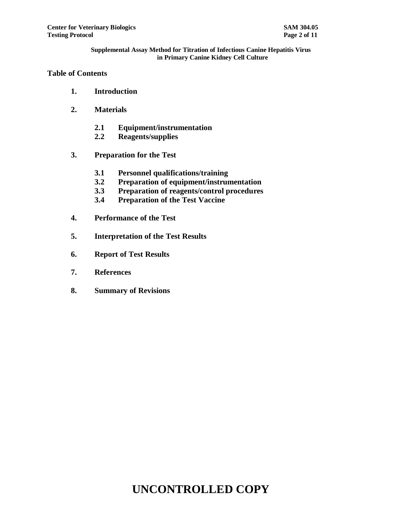## **Table of Contents**

- **1. Introduction**
- **2. Materials**
	- **2.1 Equipment/instrumentation**
	- **2.2 Reagents/supplies**
- **3. Preparation for the Test**
	- **3.1 Personnel qualifications/training**
	- **3.2 Preparation of equipment/instrumentation**
	- **3.3 Preparation of reagents/control procedures**
	- **3.4 Preparation of the Test Vaccine**
- **4. Performance of the Test**
- **5. Interpretation of the Test Results**
- **6. Report of Test Results**
- **7. References**
- **8. Summary of Revisions**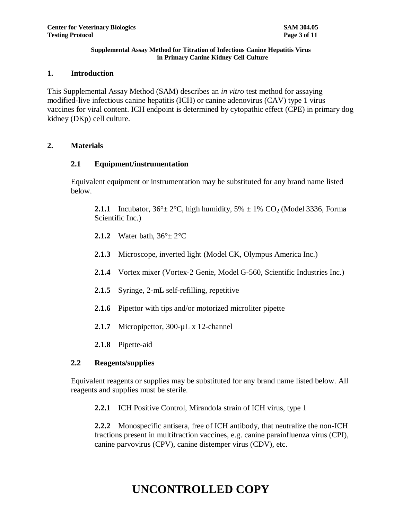### **1. Introduction**

This Supplemental Assay Method (SAM) describes an *in vitro* test method for assaying modified-live infectious canine hepatitis (ICH) or canine adenovirus (CAV) type 1 virus vaccines for viral content. ICH endpoint is determined by cytopathic effect (CPE) in primary dog kidney (DKp) cell culture.

## **2. Materials**

## **2.1 Equipment/instrumentation**

Equivalent equipment or instrumentation may be substituted for any brand name listed below.

**2.1.1** Incubator,  $36^{\circ} \pm 2^{\circ}$ C, high humidity,  $5\% \pm 1\%$  CO<sub>2</sub> (Model 3336, Forma Scientific Inc.)

- **2.1.2** Water bath,  $36^\circ \pm 2^\circ \text{C}$
- **2.1.3** Microscope, inverted light (Model CK, Olympus America Inc.)
- **2.1.4** Vortex mixer (Vortex-2 Genie, Model G-560, Scientific Industries Inc.)
- **2.1.5** Syringe, 2-mL self-refilling, repetitive
- **2.1.6** Pipettor with tips and/or motorized microliter pipette
- **2.1.7** Micropipettor, 300-µL x 12-channel
- **2.1.8** Pipette-aid

## **2.2 Reagents/supplies**

Equivalent reagents or supplies may be substituted for any brand name listed below. All reagents and supplies must be sterile.

**2.2.1** ICH Positive Control, Mirandola strain of ICH virus, type 1

**2.2.2** Monospecific antisera, free of ICH antibody, that neutralize the non-ICH fractions present in multifraction vaccines, e.g. canine parainfluenza virus (CPI), canine parvovirus (CPV), canine distemper virus (CDV), etc.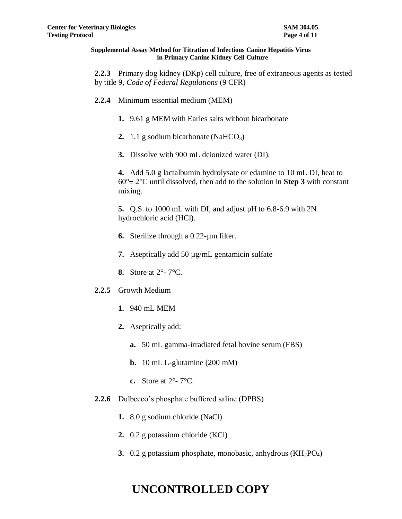**2.2.3** Primary dog kidney (DKp) cell culture, free of extraneous agents as tested by title 9, *Code of Federal Regulations* (9 CFR)

- **2.2.4** Minimum essential medium (MEM)
	- **1.** 9.61 g MEM with Earles salts without bicarbonate
	- **2.** 1.1 g sodium bicarbonate (NaHCO<sub>3</sub>)
	- **3.** Dissolve with 900 mL deionized water (DI).

**4.** Add 5.0 g lactalbumin hydrolysate or edamine to 10 mL DI, heat to 60°± 2°C until dissolved, then add to the solution in **Step 3** with constant mixing.

**5.** Q.S. to 1000 mL with DI, and adjust pH to 6.8-6.9 with 2N hydrochloric acid (HCl).

- **6.** Sterilize through a 0.22-µm filter.
- **7.** Aseptically add 50 µg/mL gentamicin sulfate
- **8.** Store at 2°- 7°C.
- **2.2.5** Growth Medium
	- **1.** 940 mL MEM
	- **2.** Aseptically add:
		- **a.** 50 mL gamma-irradiated fetal bovine serum (FBS)
		- **b.** 10 mL L-glutamine (200 mM)
		- **c.** Store at 2°- 7°C.
- **2.2.6** Dulbecco's phosphate buffered saline (DPBS)
	- **1.** 8.0 g sodium chloride (NaCl)
	- **2.** 0.2 g potassium chloride (KCl)
	- **3.** 0.2 g potassium phosphate, monobasic, anhydrous (KH<sub>2</sub>PO<sub>4</sub>)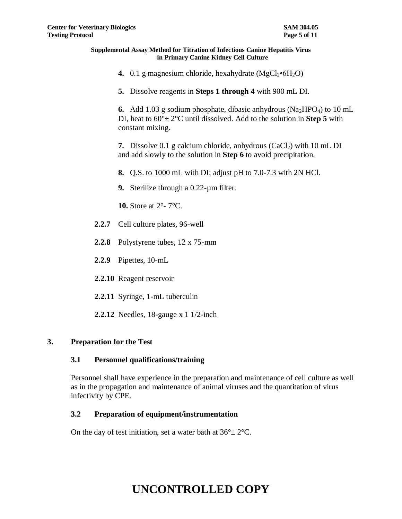- **4.** 0.1 g magnesium chloride, hexahydrate  $(MgCl<sub>2</sub>•6H<sub>2</sub>O)$
- **5.** Dissolve reagents in **Steps 1 through 4** with 900 mL DI.

**6.** Add 1.03 g sodium phosphate, dibasic anhydrous  $(Na_2HPO_4)$  to 10 mL DI, heat to 60°± 2°C until dissolved. Add to the solution in **Step 5** with constant mixing.

**7.** Dissolve 0.1 g calcium chloride, anhydrous  $(CaCl<sub>2</sub>)$  with 10 mL DI and add slowly to the solution in **Step 6** to avoid precipitation.

- **8.** Q.S. to 1000 mL with DI; adjust pH to 7.0-7.3 with 2N HCl.
- **9.** Sterilize through a 0.22-µm filter.

**10.** Store at 2°- 7°C.

- **2.2.7** Cell culture plates, 96-well
- **2.2.8** Polystyrene tubes, 12 x 75-mm
- **2.2.9** Pipettes, 10-mL
- **2.2.10** Reagent reservoir
- **2.2.11** Syringe, 1-mL tuberculin
- **2.2.12** Needles, 18-gauge x 1 1/2-inch

### **3. Preparation for the Test**

### **3.1 Personnel qualifications/training**

Personnel shall have experience in the preparation and maintenance of cell culture as well as in the propagation and maintenance of animal viruses and the quantitation of virus infectivity by CPE.

### **3.2 Preparation of equipment/instrumentation**

On the day of test initiation, set a water bath at  $36^{\circ} \pm 2^{\circ}$ C.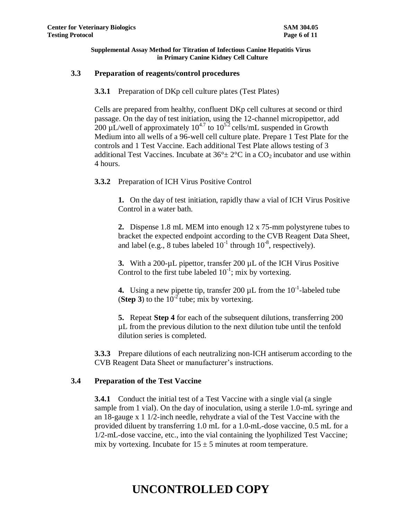## **3.3 Preparation of reagents/control procedures**

**3.3.1** Preparation of DKp cell culture plates (Test Plates)

Cells are prepared from healthy, confluent DKp cell cultures at second or third passage. On the day of test initiation, using the 12-channel micropipettor, add 200 µL/well of approximately  $10^{4.7}$  to  $10^{5.2}$  cells/mL suspended in Growth Medium into all wells of a 96-well cell culture plate. Prepare 1 Test Plate for the controls and 1 Test Vaccine. Each additional Test Plate allows testing of 3 additional Test Vaccines. Incubate at  $36^{\circ} \pm 2^{\circ}$ C in a CO<sub>2</sub> incubator and use within 4 hours.

**3.3.2** Preparation of ICH Virus Positive Control

**1.** On the day of test initiation, rapidly thaw a vial of ICH Virus Positive Control in a water bath.

**2.** Dispense 1.8 mL MEM into enough 12 x 75-mm polystyrene tubes to bracket the expected endpoint according to the CVB Reagent Data Sheet, and label (e.g., 8 tubes labeled  $10^{-1}$  through  $10^{-8}$ , respectively).

**3.** With a 200-µL pipettor, transfer 200 µL of the ICH Virus Positive Control to the first tube labeled  $10^{-1}$ ; mix by vortexing.

**4.** Using a new pipette tip, transfer 200  $\mu$ L from the 10<sup>-1</sup>-labeled tube **(Step 3)** to the  $10^{-2}$  tube; mix by vortexing.

**5.** Repeat **Step 4** for each of the subsequent dilutions, transferring 200 µL from the previous dilution to the next dilution tube until the tenfold dilution series is completed.

**3.3.3** Prepare dilutions of each neutralizing non-ICH antiserum according to the CVB Reagent Data Sheet or manufacturer's instructions.

## **3.4 Preparation of the Test Vaccine**

**3.4.1** Conduct the initial test of a Test Vaccine with a single vial (a single sample from 1 vial). On the day of inoculation, using a sterile 1.0-mL syringe and an 18-gauge x 1 1/2-inch needle, rehydrate a vial of the Test Vaccine with the provided diluent by transferring 1.0 mL for a 1.0-mL-dose vaccine, 0.5 mL for a 1/2-mL-dose vaccine, etc., into the vial containing the lyophilized Test Vaccine; mix by vortexing. Incubate for  $15 \pm 5$  minutes at room temperature.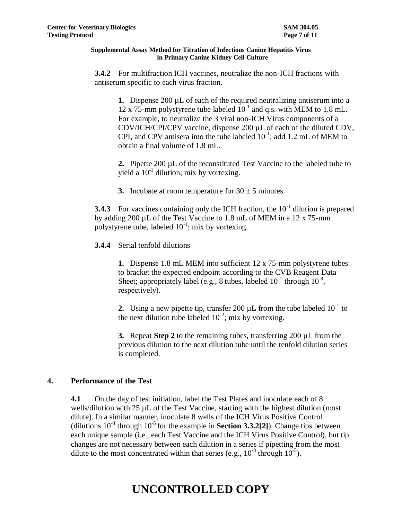**3.4.2** For multifraction ICH vaccines, neutralize the non-ICH fractions with antiserum specific to each virus fraction.

**1.** Dispense 200 µL of each of the required neutralizing antiserum into a 12 x 75-mm polystyrene tube labeled  $10^{-1}$  and q.s. with MEM to 1.8 mL. For example, to neutralize the 3 viral non-ICH Virus components of a CDV/ICH/CPI/CPV vaccine, dispense 200 µL of each of the diluted CDV, CPI, and CPV antisera into the tube labeled  $10^{-1}$ ; add 1.2 mL of MEM to obtain a final volume of 1.8 mL.

**2.** Pipette 200 µL of the reconstituted Test Vaccine to the labeled tube to yield a  $10^{-1}$  dilution; mix by vortexing.

**3.** Incubate at room temperature for  $30 \pm 5$  minutes.

**3.4.3** For vaccines containing only the ICH fraction, the  $10^{-1}$  dilution is prepared by adding 200 µL of the Test Vaccine to 1.8 mL of MEM in a 12 x 75-mm polystyrene tube, labeled  $10^{-1}$ ; mix by vortexing.

**3.4.4** Serial tenfold dilutions

**1.** Dispense 1.8 mL MEM into sufficient 12 x 75-mm polystyrene tubes to bracket the expected endpoint according to the CVB Reagent Data Sheet; appropriately label (e.g., 8 tubes, labeled  $10^{-1}$  through  $10^{-8}$ , respectively).

**2.** Using a new pipette tip, transfer 200  $\mu$ L from the tube labeled  $10^{-1}$  to the next dilution tube labeled  $10^{-2}$ ; mix by vortexing.

**3.** Repeat **Step 2** to the remaining tubes, transferring 200 µL from the previous dilution to the next dilution tube until the tenfold dilution series is completed.

## **4. Performance of the Test**

**4.1** On the day of test initiation, label the Test Plates and inoculate each of 8 wells/dilution with 25 µL of the Test Vaccine, starting with the highest dilution (most dilute). In a similar manner, inoculate 8 wells of the ICH Virus Positive Control (dilutions  $10^{-8}$  through  $10^{-5}$  for the example in **Section 3.3.2[2]**). Change tips between each unique sample (i.e., each Test Vaccine and the ICH Virus Positive Control), but tip changes are not necessary between each dilution in a series if pipetting from the most dilute to the most concentrated within that series (e.g.,  $10^{-8}$  through  $10^{-5}$ ).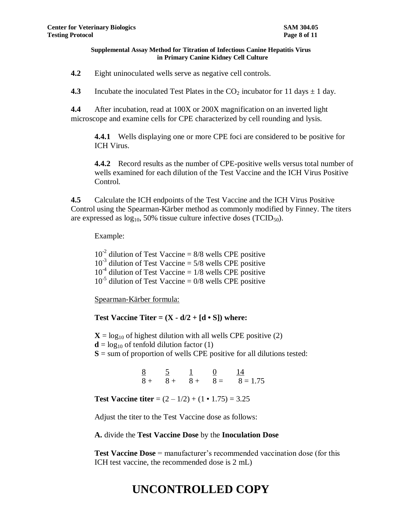**4.2** Eight uninoculated wells serve as negative cell controls.

**4.3** Incubate the inoculated Test Plates in the  $CO_2$  incubator for 11 days  $\pm$  1 day.

**4.4** After incubation, read at 100X or 200X magnification on an inverted light microscope and examine cells for CPE characterized by cell rounding and lysis.

**4.4.1** Wells displaying one or more CPE foci are considered to be positive for ICH Virus.

**4.4.2** Record results as the number of CPE-positive wells versus total number of wells examined for each dilution of the Test Vaccine and the ICH Virus Positive Control.

**4.5** Calculate the ICH endpoints of the Test Vaccine and the ICH Virus Positive Control using the Spearman-Kärber method as commonly modified by Finney. The titers are expressed as  $log_{10}$ , 50% tissue culture infective doses (TCID<sub>50</sub>).

Example:

 $10^{-2}$  dilution of Test Vaccine = 8/8 wells CPE positive  $10^{-3}$  dilution of Test Vaccine = 5/8 wells CPE positive  $10^{-4}$  dilution of Test Vaccine = 1/8 wells CPE positive  $10^{-5}$  dilution of Test Vaccine = 0/8 wells CPE positive

Spearman-Kärber formula:

**Test Vaccine Titer** =  $(X - d/2 + [d \cdot S])$  where:

 $X = log_{10}$  of highest dilution with all wells CPE positive (2)  **of tenfold dilution factor (1)**  $S =$ sum of proportion of wells CPE positive for all dilutions tested:

> 8 5 1 0 14  $8 + 8 + 8 + 8 = 8 = 1.75$

**Test Vaccine titer** =  $(2 - 1/2) + (1 \cdot 1.75) = 3.25$ 

Adjust the titer to the Test Vaccine dose as follows:

**A.** divide the **Test Vaccine Dose** by the **Inoculation Dose**

**Test Vaccine Dose** = manufacturer's recommended vaccination dose (for this ICH test vaccine, the recommended dose is 2 mL)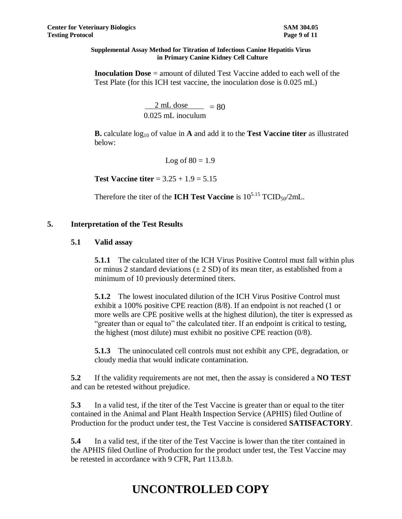**Inoculation Dose** = amount of diluted Test Vaccine added to each well of the Test Plate (for this ICH test vaccine, the inoculation dose is 0.025 mL)

> $2 \text{ mL dose}$  = 80 0.025 mL inoculum

**B.** calculate log<sup>10</sup> of value in **A** and add it to the **Test Vaccine titer** as illustrated below:

Log of  $80 = 1.9$ 

**Test Vaccine titer** = 3.25 + 1.9 = 5.15

Therefore the titer of the **ICH Test Vaccine** is  $10^{5.15}$  TCID<sub>50</sub>/2mL.

## **5. Interpretation of the Test Results**

## **5.1 Valid assay**

**5.1.1** The calculated titer of the ICH Virus Positive Control must fall within plus or minus 2 standard deviations  $(\pm 2 SD)$  of its mean titer, as established from a minimum of 10 previously determined titers.

**5.1.2** The lowest inoculated dilution of the ICH Virus Positive Control must exhibit a 100% positive CPE reaction (8/8). If an endpoint is not reached (1 or more wells are CPE positive wells at the highest dilution), the titer is expressed as "greater than or equal to" the calculated titer. If an endpoint is critical to testing, the highest (most dilute) must exhibit no positive CPE reaction (0/8).

**5.1.3** The uninoculated cell controls must not exhibit any CPE, degradation, or cloudy media that would indicate contamination.

**5.2** If the validity requirements are not met, then the assay is considered a **NO TEST** and can be retested without prejudice.

**5.3** In a valid test, if the titer of the Test Vaccine is greater than or equal to the titer contained in the Animal and Plant Health Inspection Service (APHIS) filed Outline of Production for the product under test, the Test Vaccine is considered **SATISFACTORY**.

**5.4** In a valid test, if the titer of the Test Vaccine is lower than the titer contained in the APHIS filed Outline of Production for the product under test, the Test Vaccine may be retested in accordance with 9 CFR, Part 113.8.b.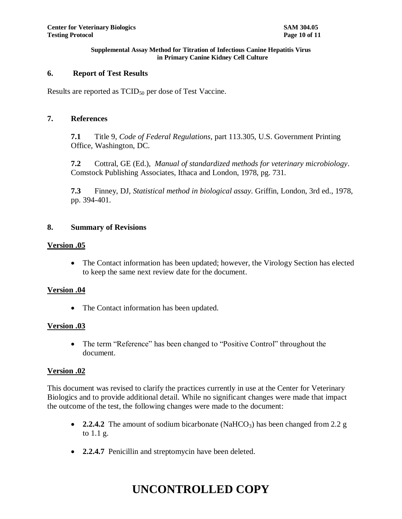## **6. Report of Test Results**

Results are reported as  $TCID_{50}$  per dose of Test Vaccine.

### **7. References**

**7.1** Title 9, *Code of Federal Regulations*, part 113.305, U.S. Government Printing Office, Washington, DC.

**7.2** Cottral, GE (Ed.), *Manual of standardized methods for veterinary microbiology*. Comstock Publishing Associates, Ithaca and London, 1978, pg. 731.

**7.3** Finney, DJ, *Statistical method in biological assay.* Griffin, London, 3rd ed., 1978, pp. 394-401.

### **8. Summary of Revisions**

### **Version .05**

 The Contact information has been updated; however, the Virology Section has elected to keep the same next review date for the document.

## **Version .04**

• The Contact information has been updated.

### **Version .03**

• The term "Reference" has been changed to "Positive Control" throughout the document.

### **Version .02**

This document was revised to clarify the practices currently in use at the Center for Veterinary Biologics and to provide additional detail. While no significant changes were made that impact the outcome of the test, the following changes were made to the document:

- **2.2.4.2** The amount of sodium bicarbonate (NaHCO<sub>3</sub>) has been changed from 2.2 g to 1.1 g.
- **2.2.4.7** Penicillin and streptomycin have been deleted.